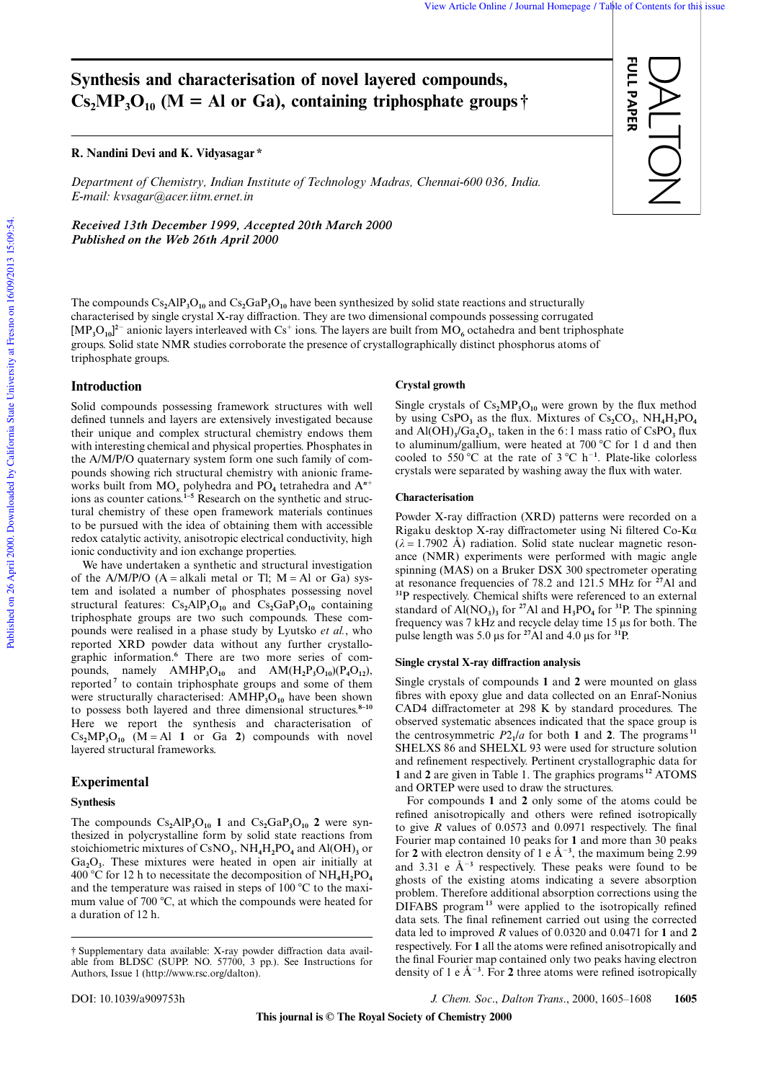FULL PAPER

**ULL PAPER** 

DALTON

# **Synthesis and characterisation of novel layered compounds,**  $Cs<sub>2</sub>MP<sub>3</sub>O<sub>10</sub>$  (M = Al or Ga), containing triphosphate groups  $\dagger$

# **R. Nandini Devi and K. Vidyasagar \***

*Department of Chemistry, Indian Institute of Technology Madras, Chennai-600 036, India. E-mail: kvsagar@acer.iitm.ernet.in*

*Received 13th December 1999, Accepted 20th March 2000 Published on the Web 26th April 2000*

The compounds  $Cs_2AIP_3O_{10}$  and  $Cs_2GaP_3O_{10}$  have been synthesized by solid state reactions and structurally characterised by single crystal X-ray diffraction. They are two dimensional compounds possessing corrugated  $[MP<sub>3</sub>O<sub>10</sub>]<sup>2</sup>$  anionic layers interleaved with Cs<sup>+</sup> ions. The layers are built from  $MO<sub>6</sub>$  octahedra and bent triphosphate groups. Solid state NMR studies corroborate the presence of crystallographically distinct phosphorus atoms of triphosphate groups.

# **Introduction**

Solid compounds possessing framework structures with well defined tunnels and layers are extensively investigated because their unique and complex structural chemistry endows them with interesting chemical and physical properties. Phosphates in the A/M/P/O quaternary system form one such family of compounds showing rich structural chemistry with anionic frameworks built from  $MO_x$  polyhedra and  $PO_4$  tetrahedra and  $A^{n+}$ ions as counter cations.**1–5** Research on the synthetic and structural chemistry of these open framework materials continues to be pursued with the idea of obtaining them with accessible redox catalytic activity, anisotropic electrical conductivity, high ionic conductivity and ion exchange properties.

We have undertaken a synthetic and structural investigation of the  $A/M/P/O$  (A = alkali metal or Tl; M = Al or Ga) system and isolated a number of phosphates possessing novel structural features:  $Cs_2AlP_3O_{10}$  and  $Cs_2GaP_3O_{10}$  containing triphosphate groups are two such compounds. These compounds were realised in a phase study by Lyutsko *et al.*, who reported XRD powder data without any further crystallographic information.**<sup>6</sup>** There are two more series of compounds, namely  $AMHP_3O_{10}$  and  $AM(H_2P_3O_{10})(P_4O_{12})$ , reported**<sup>7</sup>** to contain triphosphate groups and some of them were structurally characterised:  $AMHP<sub>3</sub>O<sub>10</sub>$  have been shown to possess both layered and three dimensional structures.**8–10** Here we report the synthesis and characterisation of  $Cs<sub>2</sub>MP<sub>3</sub>O<sub>10</sub>$  (M = Al 1 or Ga 2) compounds with novel layered structural frameworks.

# **Experimental**

# **Synthesis**

The compounds  $Cs_2AlP_3O_{10}$  **1** and  $Cs_2GaP_3O_{10}$  **2** were synthesized in polycrystalline form by solid state reactions from stoichiometric mixtures of CsNO**<sup>3</sup>** , NH**4**H**2**PO**<sup>4</sup>** and Al(OH)**<sup>3</sup>** or Ga**2**O**<sup>3</sup>** . These mixtures were heated in open air initially at 400 °C for 12 h to necessitate the decomposition of  $NH_4H_2PO_4$ and the temperature was raised in steps of  $100^{\circ}$ C to the maximum value of 700  $^{\circ}$ C, at which the compounds were heated for a duration of 12 h.

#### **Crystal growth**

Single crystals of  $Cs<sub>2</sub>MP<sub>3</sub>O<sub>10</sub>$  were grown by the flux method by using CsPO**<sup>3</sup>** as the flux. Mixtures of Cs**2**CO**<sup>3</sup>** , NH**4**H**2**PO**<sup>4</sup>** and Al(OH)**<sup>3</sup>** /Ga**2**O**<sup>3</sup>** , taken in the 6 : 1 mass ratio of CsPO**<sup>3</sup>** flux to aluminum/gallium, were heated at 700 °C for 1 d and then cooled to 550 °C at the rate of  $3$  °C h<sup>-1</sup>. Plate-like colorless crystals were separated by washing away the flux with water.

#### **Characterisation**

Powder X-ray diffraction (XRD) patterns were recorded on a Rigaku desktop X-ray diffractometer using Ni filtered Co-Kα  $(\lambda = 1.7902 \text{ Å})$  radiation. Solid state nuclear magnetic resonance (NMR) experiments were performed with magic angle spinning (MAS) on a Bruker DSX 300 spectrometer operating at resonance frequencies of 78.2 and 121.5 MHz for **<sup>27</sup>**Al and **<sup>31</sup>**P respectively. Chemical shifts were referenced to an external standard of  $AI(NO<sub>3</sub>)<sub>3</sub>$  for <sup>27</sup>Al and  $H<sub>3</sub>PO<sub>4</sub>$  for <sup>31</sup>P. The spinning frequency was 7 kHz and recycle delay time 15 µs for both. The pulse length was 5.0 µs for **<sup>27</sup>**Al and 4.0 µs for **<sup>31</sup>**P.

#### **Single crystal X-ray diffraction analysis**

Single crystals of compounds **1** and **2** were mounted on glass fibres with epoxy glue and data collected on an Enraf-Nonius CAD4 diffractometer at 298 K by standard procedures. The observed systematic absences indicated that the space group is the centrosymmetric  $P2_1/a$  for both 1 and 2. The programs<sup>11</sup> SHELXS 86 and SHELXL 93 were used for structure solution and refinement respectively. Pertinent crystallographic data for **1** and **2** are given in Table 1. The graphics programs **<sup>12</sup>** ATOMS and ORTEP were used to draw the structures.

For compounds **1** and **2** only some of the atoms could be refined anisotropically and others were refined isotropically to give *R* values of 0.0573 and 0.0971 respectively. The final Fourier map contained 10 peaks for **1** and more than 30 peaks for 2 with electron density of 1 e  $\AA^{-3}$ , the maximum being 2.99 and 3.31 e  $A^{-3}$  respectively. These peaks were found to be ghosts of the existing atoms indicating a severe absorption problem. Therefore additional absorption corrections using the DIFABS program**<sup>13</sup>** were applied to the isotropically refined data sets. The final refinement carried out using the corrected data led to improved *R* values of 0.0320 and 0.0471 for **1** and **2** respectively. For **1** all the atoms were refined anisotropically and the final Fourier map contained only two peaks having electron density of 1 e  $A^{-3}$ . For 2 three atoms were refined isotropically

DOI: 10.1039/a909753h *J. Chem. Soc*., *Dalton Trans*., 2000, 1605–1608 **1605**

<sup>†</sup> Supplementary data available: X-ray powder diffraction data available from BLDSC (SUPP. NO. 57700, 3 pp.). See Instructions for Authors, Issue 1 (http://www.rsc.org/dalton).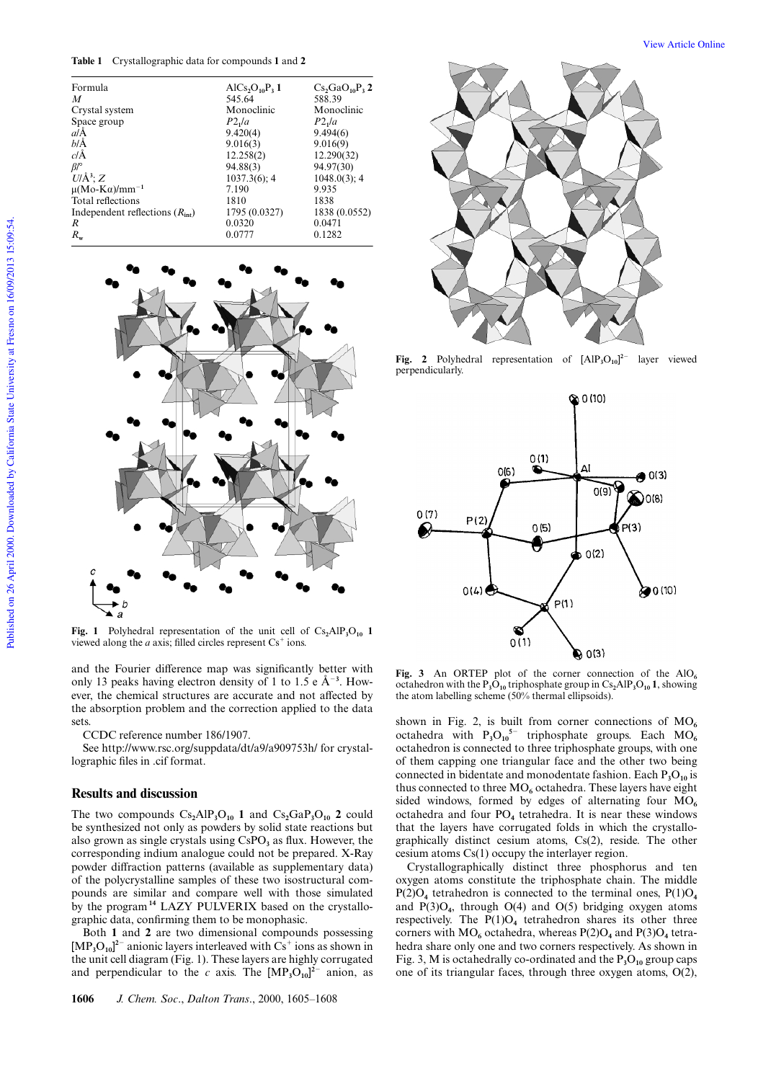**Table 1** Crystallographic data for compounds **1** and **2**

| Formula                                 | AlCs <sub>2</sub> O <sub>10</sub> P <sub>3</sub> 1 | $Cs$ <sub>5</sub> GaO <sub>10</sub> P <sub>3</sub> 2 |
|-----------------------------------------|----------------------------------------------------|------------------------------------------------------|
| M                                       | 545.64                                             | 588.39                                               |
| Crystal system                          | Monoclinic                                         | Monoclinic                                           |
| Space group                             | P2 <sub>1</sub> /a                                 | P2 <sub>1</sub> /a                                   |
| aΙĂ                                     | 9.420(4)                                           | 9.494(6)                                             |
| ЫĂ                                      | 9.016(3)                                           | 9.016(9)                                             |
| $c/\AA$                                 | 12.258(2)                                          | 12.290(32)                                           |
| $\beta$ /°                              | 94.88(3)                                           | 94.97(30)                                            |
| $U/\AA$ <sup>3</sup> ; Z                | $1037.3(6)$ ; 4                                    | $1048.0(3)$ ; 4                                      |
| $\mu(Mo-K\alpha)/mm^{-1}$               | 7.190                                              | 9.935                                                |
| Total reflections                       | 1810                                               | 1838                                                 |
| Independent reflections $(R_{\rm int})$ | 1795 (0.0327)                                      | 1838 (0.0552)                                        |
| R                                       | 0.0320                                             | 0.0471                                               |
| $R_{\rm w}$                             | 0.0777                                             | 0.1282                                               |
|                                         |                                                    |                                                      |



**Fig. 1** Polyhedral representation of the unit cell of  $Cs_2AlP_3O_{10}$  **1** viewed along the  $a$  axis; filled circles represent  $Cs^+$  ions.

and the Fourier difference map was significantly better with only 13 peaks having electron density of 1 to  $1.5 e \text{ Å}^{-3}$ . However, the chemical structures are accurate and not affected by the absorption problem and the correction applied to the data sets.

CCDC reference number 186/1907.

See http://www.rsc.org/suppdata/dt/a9/a909753h/ for crystallographic files in .cif format.

# **Results and discussion**

The two compounds  $Cs_2AlP_3O_{10}$  **1** and  $Cs_2GaP_3O_{10}$  **2** could be synthesized not only as powders by solid state reactions but also grown as single crystals using CsPO<sub>3</sub> as flux. However, the corresponding indium analogue could not be prepared. X-Ray powder diffraction patterns (available as supplementary data) of the polycrystalline samples of these two isostructural compounds are similar and compare well with those simulated by the program**<sup>14</sup>** LAZY PULVERIX based on the crystallographic data, confirming them to be monophasic.

Both **1** and **2** are two dimensional compounds possessing  $[MP<sub>3</sub>O<sub>10</sub>]<sup>2–</sup>$  anionic layers interleaved with  $Cs<sup>+</sup>$  ions as shown in the unit cell diagram (Fig. 1). These layers are highly corrugated and perpendicular to the *c* axis. The  $[MP_3O_{10}]^2$ <sup>-</sup> anion, as





**Fig. 2** Polyhedral representation of  $[AlP_3O_{10}]^2$  layer viewed perpendicularly.



Fig. 3 An ORTEP plot of the corner connection of the  $AIO<sub>6</sub>$ octahedron with the  $P_3O_{10}$  triphosphate group in  $Cs_2AlP_3O_{10}$  **1**, showing the atom labelling scheme (50% thermal ellipsoids).

shown in Fig. 2, is built from corner connections of MO**<sup>6</sup>** octahedra with  $P_3O_{10}^{5}$  triphosphate groups. Each MO<sub>6</sub> octahedron is connected to three triphosphate groups, with one of them capping one triangular face and the other two being connected in bidentate and monodentate fashion. Each P<sub>3</sub>O<sub>10</sub> is thus connected to three  $MO_6$  octahedra. These layers have eight sided windows, formed by edges of alternating four MO<sub>6</sub> octahedra and four PO**<sup>4</sup>** tetrahedra. It is near these windows that the layers have corrugated folds in which the crystallographically distinct cesium atoms, Cs(2), reside. The other cesium atoms Cs(1) occupy the interlayer region.

Crystallographically distinct three phosphorus and ten oxygen atoms constitute the triphosphate chain. The middle  $P(2)O_4$  tetrahedron is connected to the terminal ones,  $P(1)O_4$ and  $P(3)O_4$ , through  $O(4)$  and  $O(5)$  bridging oxygen atoms respectively. The  $P(1)O<sub>4</sub>$  tetrahedron shares its other three corners with  $MO_6$  octahedra, whereas  $P(2)O_4$  and  $P(3)O_4$  tetrahedra share only one and two corners respectively. As shown in Fig. 3, M is octahedrally co-ordinated and the  $P_3O_{10}$  group caps one of its triangular faces, through three oxygen atoms, O(2),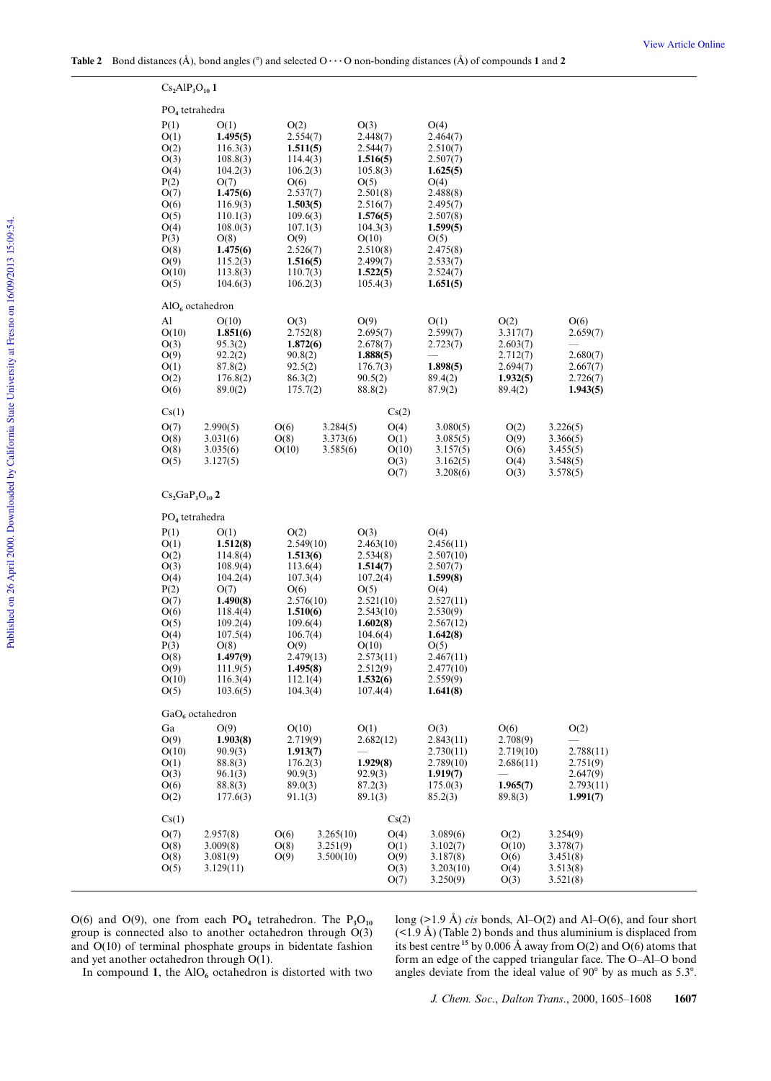|                                        | $Cs_2AlP_3O_{10}$ 1         |                       |                       |           |                        |              |                       |                      |                      |  |
|----------------------------------------|-----------------------------|-----------------------|-----------------------|-----------|------------------------|--------------|-----------------------|----------------------|----------------------|--|
| PO <sub>4</sub> tetrahedra             |                             |                       |                       |           |                        |              |                       |                      |                      |  |
|                                        | P(1)                        | O(1)                  | O(2)                  |           | O(3)                   |              | O(4)                  |                      |                      |  |
|                                        | O(1)                        | 1.495(5)              | 2.554(7)              |           | 2.448(7)               |              | 2.464(7)              |                      |                      |  |
|                                        | O(2)                        | 116.3(3)              | 1.511(5)              |           | 2.544(7)               |              | 2.510(7)              |                      |                      |  |
|                                        | O(3)                        | 108.8(3)              | 114.4(3)              |           | 1.516(5)               |              | 2.507(7)              |                      |                      |  |
|                                        | O(4)                        | 104.2(3)              | 106.2(3)              |           | 105.8(3)               |              | 1.625(5)              |                      |                      |  |
|                                        | P(2)<br>O(7)                | O(7)<br>1.475(6)      | O(6)                  |           | O(5)<br>2.501(8)       |              | O(4)<br>2.488(8)      |                      |                      |  |
|                                        | O(6)                        | 116.9(3)              | 2.537(7)<br>1.503(5)  |           | 2.516(7)               |              | 2.495(7)              |                      |                      |  |
|                                        | O(5)                        | 110.1(3)              | 109.6(3)              |           | 1.576(5)               |              | 2.507(8)              |                      |                      |  |
|                                        | O(4)                        | 108.0(3)              | 107.1(3)              |           | 104.3(3)               |              | 1.599(5)              |                      |                      |  |
|                                        | P(3)                        | O(8)                  | O(9)                  |           | O(10)                  |              | O(5)                  |                      |                      |  |
|                                        | O(8)                        | 1.475(6)              | 2.526(7)              |           | 2.510(8)               |              | 2.475(8)              |                      |                      |  |
|                                        | O(9)<br>O(10)               | 115.2(3)<br>113.8(3)  | 1.516(5)<br>110.7(3)  |           | 2.499(7)<br>1.522(5)   |              | 2.533(7)<br>2.524(7)  |                      |                      |  |
|                                        | O(5)                        | 104.6(3)              | 106.2(3)              |           | 105.4(3)               |              | 1.651(5)              |                      |                      |  |
|                                        |                             |                       |                       |           |                        |              |                       |                      |                      |  |
|                                        | AIO <sub>6</sub> octahedron |                       |                       |           |                        |              |                       |                      |                      |  |
|                                        | Al                          | O(10)                 | O(3)                  |           | O(9)                   |              | O(1)                  | O(2)                 | O(6)                 |  |
|                                        | O(10)                       | 1.851(6)              | 2.752(8)              |           | 2.695(7)               |              | 2.599(7)              | 3.317(7)             | 2.659(7)             |  |
|                                        | O(3)<br>O(9)                | 95.3(2)<br>92.2(2)    | 1.872(6)<br>90.8(2)   |           | 2.678(7)<br>1.888(5)   |              | 2.723(7)              | 2.603(7)<br>2.712(7) | 2.680(7)             |  |
|                                        | O(1)                        | 87.8(2)               | 92.5(2)               |           | 176.7(3)               |              | 1.898(5)              | 2.694(7)             | 2.667(7)             |  |
|                                        | O(2)                        | 176.8(2)              | 86.3(2)               |           | 90.5(2)                |              | 89.4(2)               | 1.932(5)             | 2.726(7)             |  |
|                                        | O(6)                        | 89.0(2)               | 175.7(2)              |           | 88.8(2)                |              | 87.9(2)               | 89.4(2)              | 1.943(5)             |  |
|                                        | Cs(1)                       |                       |                       |           |                        | Cs(2)        |                       |                      |                      |  |
|                                        | O(7)                        | 2.990(5)              | O(6)                  | 3.284(5)  |                        | O(4)         | 3.080(5)              | O(2)                 | 3.226(5)             |  |
|                                        | O(8)                        | 3.031(6)              | O(8)                  | 3.373(6)  |                        | O(1)         | 3.085(5)              | O(9)                 | 3.366(5)             |  |
|                                        | O(8)                        | 3.035(6)              | O(10)                 | 3.585(6)  |                        | O(10)        | 3.157(5)              | O(6)                 | 3.455(5)             |  |
|                                        | O(5)                        | 3.127(5)              |                       |           |                        | O(3)         | 3.162(5)              | O(4)                 | 3.548(5)             |  |
|                                        |                             |                       |                       |           |                        | O(7)         | 3.208(6)              | O(3)                 | 3.578(5)             |  |
|                                        | $Cs2GaP3O102$               |                       |                       |           |                        |              |                       |                      |                      |  |
|                                        |                             |                       |                       |           |                        |              |                       |                      |                      |  |
|                                        | PO <sub>4</sub> tetrahedra  |                       |                       |           |                        |              |                       |                      |                      |  |
|                                        | P(1)<br>O(1)                | O(1)<br>1.512(8)      | O(2)<br>2.549(10)     |           | O(3)<br>2.463(10)      |              | O(4)<br>2.456(11)     |                      |                      |  |
|                                        | O(2)                        | 114.8(4)              | 1.513(6)              |           | 2.534(8)               |              | 2.507(10)             |                      |                      |  |
|                                        | O(3)                        | 108.9(4)              | 113.6(4)              |           | 1.514(7)               |              | 2.507(7)              |                      |                      |  |
|                                        | O(4)                        | 104.2(4)              | 107.3(4)              |           | 107.2(4)               |              | 1.599(8)              |                      |                      |  |
|                                        | P(2)                        | O(7)                  | O(6)                  |           | O(5)                   |              | O(4)                  |                      |                      |  |
|                                        | O(7)<br>O(6)                | 1.490(8)<br>118.4(4)  | 2.576(10)<br>1.510(6) |           | 2.521(10)<br>2.543(10) |              | 2.527(11)<br>2.530(9) |                      |                      |  |
|                                        | O(5)                        | 109.2(4)              | 109.6(4)              |           | 1.602(8)               |              | 2.567(12)             |                      |                      |  |
|                                        | O(4)                        | 107.5(4)              | 106.7(4)              |           | 104.6(4)               |              | 1.642(8)              |                      |                      |  |
|                                        | P(3)                        | O(8)                  | O(9)                  |           | O(10)                  |              | O(5)                  |                      |                      |  |
|                                        | O(8)                        | 1.497(9)              | 2.479(13)             |           | 2.573(11)              |              | 2.467(11)             |                      |                      |  |
|                                        | O(9)<br>O(10)               | 111.9(5)<br>116.3(4)  | 1.495(8)<br>112.1(4)  |           | 2.512(9)<br>1.532(6)   |              | 2.477(10)<br>2.559(9) |                      |                      |  |
|                                        | O(5)                        | 103.6(5)              | 104.3(4)              |           | 107.4(4)               |              | 1.641(8)              |                      |                      |  |
|                                        |                             |                       |                       |           |                        |              |                       |                      |                      |  |
| $GaO6$ octahedron                      |                             |                       |                       |           |                        |              |                       |                      |                      |  |
|                                        | Ga<br>O(9)                  | O(9)<br>1.903(8)      | O(10)<br>2.719(9)     |           | O(1)                   |              | O(3)<br>2.843(11)     | O(6)<br>2.708(9)     | O(2)                 |  |
|                                        | O(10)                       | 90.9(3)               | 1.913(7)              |           | 2.682(12)              |              | 2.730(11)             | 2.719(10)            | 2.788(11)            |  |
|                                        | O(1)                        | 88.8(3)               | 176.2(3)              |           | 1.929(8)               |              | 2.789(10)             | 2.686(11)            | 2.751(9)             |  |
|                                        | O(3)                        | 96.1(3)               | 90.9(3)               |           | 92.9(3)                |              | 1.919(7)              |                      | 2.647(9)             |  |
|                                        | O(6)                        | 88.8(3)               | 89.0(3)               |           | 87.2(3)                |              | 175.0(3)              | 1.965(7)             | 2.793(11)            |  |
| O(2)<br>177.6(3)<br>91.1(3)<br>89.1(3) |                             |                       |                       |           |                        | 85.2(3)      | 89.8(3)               | 1.991(7)             |                      |  |
|                                        | Cs(1)                       |                       |                       |           |                        | Cs(2)        |                       |                      |                      |  |
|                                        | O(7)                        | 2.957(8)              | O(6)                  | 3.265(10) |                        | O(4)         | 3.089(6)              | O(2)                 | 3.254(9)             |  |
|                                        | O(8)                        | 3.009(8)              | O(8)                  | 3.251(9)  |                        | O(1)         | 3.102(7)              | O(10)                | 3.378(7)             |  |
|                                        | O(8)<br>O(5)                | 3.081(9)<br>3.129(11) | O(9)                  | 3.500(10) |                        | O(9)<br>O(3) | 3.187(8)<br>3.203(10) | O(6)<br>O(4)         | 3.451(8)<br>3.513(8) |  |
|                                        |                             |                       |                       |           |                        | O(7)         | 3.250(9)              | O(3)                 | 3.521(8)             |  |
|                                        |                             |                       |                       |           |                        |              |                       |                      |                      |  |

 $O(6)$  and  $O(9)$ , one from each  $PO_4$  tetrahedron. The  $P_3O_{10}$ group is connected also to another octahedron through O(3) and O(10) of terminal phosphate groups in bidentate fashion and yet another octahedron through O(1).

long (>1.9 Å) *cis* bonds, Al–O(2) and Al–O(6), and four short  $(\leq 1.9 \text{ Å})$  (Table 2) bonds and thus aluminium is displaced from its best centre **<sup>15</sup>** by 0.006 Å away from O(2) and O(6) atoms that form an edge of the capped triangular face. The O–Al–O bond angles deviate from the ideal value of  $90^{\circ}$  by as much as 5.3°.

In compound 1, the  $AIO<sub>6</sub>$  octahedron is distorted with two

*J. Chem. Soc*., *Dalton Trans*., 2000, 1605–1608 **1607**